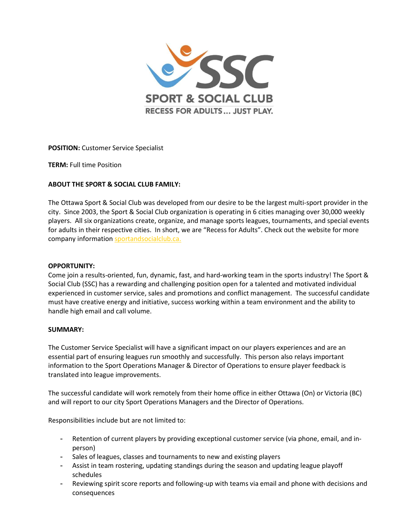

POSITION: Customer Service Specialist

TERM: Full time Position

# ABOUT THE SPORT & SOCIAL CLUB FAMILY:

The Ottawa Sport & Social Club was developed from our desire to be the largest multi-sport provider in the city. Since 2003, the Sport & Social Club organization is operating in 6 cities managing over 30,000 weekly players. All six organizations create, organize, and manage sports leagues, tournaments, and special events for adults in their respective cities. In short, we are "Recess for Adults". Check out the website for more company information sportandsocialclub.ca.

## OPPORTUNITY:

Come join a results-oriented, fun, dynamic, fast, and hard-working team in the sports industry! The Sport & Social Club (SSC) has a rewarding and challenging position open for a talented and motivated individual experienced in customer service, sales and promotions and conflict management. The successful candidate must have creative energy and initiative, success working within a team environment and the ability to handle high email and call volume.

## SUMMARY:

The Customer Service Specialist will have a significant impact on our players experiences and are an essential part of ensuring leagues run smoothly and successfully. This person also relays important information to the Sport Operations Manager & Director of Operations to ensure player feedback is translated into league improvements.

The successful candidate will work remotely from their home office in either Ottawa (On) or Victoria (BC) and will report to our city Sport Operations Managers and the Director of Operations.

Responsibilities include but are not limited to:

- Retention of current players by providing exceptional customer service (via phone, email, and inperson)
- Sales of leagues, classes and tournaments to new and existing players
- Assist in team rostering, updating standings during the season and updating league playoff schedules
- Reviewing spirit score reports and following-up with teams via email and phone with decisions and consequences